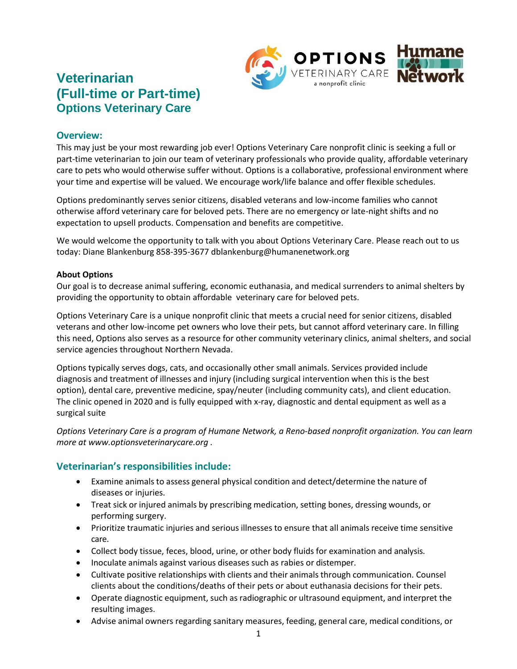

# **Veterinarian (Full-time or Part-time) Options Veterinary Care**

#### **Overview:**

This may just be your most rewarding job ever! Options Veterinary Care nonprofit clinic is seeking a full or part-time veterinarian to join our team of veterinary professionals who provide quality, affordable veterinary care to pets who would otherwise suffer without. Options is a collaborative, professional environment where your time and expertise will be valued. We encourage work/life balance and offer flexible schedules.

Options predominantly serves senior citizens, disabled veterans and low-income families who cannot otherwise afford veterinary care for beloved pets. There are no emergency or late-night shifts and no expectation to upsell products. Compensation and benefits are competitive.

We would welcome the opportunity to talk with you about Options Veterinary Care. Please reach out to us today: Diane Blankenburg 858-395-3677 dblankenburg@humanenetwork.org

#### **About Options**

Our goal is to decrease animal suffering, economic euthanasia, and medical surrenders to animal shelters by providing the opportunity to obtain affordable veterinary care for beloved pets.

Options Veterinary Care is a unique nonprofit clinic that meets a crucial need for senior citizens, disabled veterans and other low-income pet owners who love their pets, but cannot afford veterinary care. In filling this need, Options also serves as a resource for other community veterinary clinics, animal shelters, and social service agencies throughout Northern Nevada.

Options typically serves dogs, cats, and occasionally other small animals. Services provided include diagnosis and treatment of illnesses and injury (including surgical intervention when this is the best option), dental care, preventive medicine, spay/neuter (including community cats), and client education. The clinic opened in 2020 and is fully equipped with x-ray, diagnostic and dental equipment as well as a surgical suite

*Options Veterinary Care is a program of Humane Network, a Reno-based nonprofit organization. You can learn more at www.optionsveterinarycare.org .*

#### **Veterinarian's responsibilities include:**

- Examine animals to assess general physical condition and detect/determine the nature of diseases or injuries.
- Treat sick or injured animals by prescribing medication, setting bones, dressing wounds, or performing surgery.
- Prioritize traumatic injuries and serious illnesses to ensure that all animals receive time sensitive care.
- Collect body tissue, feces, blood, urine, or other body fluids for examination and analysis.
- Inoculate animals against various diseases such as rabies or distemper.
- Cultivate positive relationships with clients and their animals through communication. Counsel clients about the conditions/deaths of their pets or about euthanasia decisions for their pets.
- Operate diagnostic equipment, such as radiographic or ultrasound equipment, and interpret the resulting images.
- Advise animal owners regarding sanitary measures, feeding, general care, medical conditions, or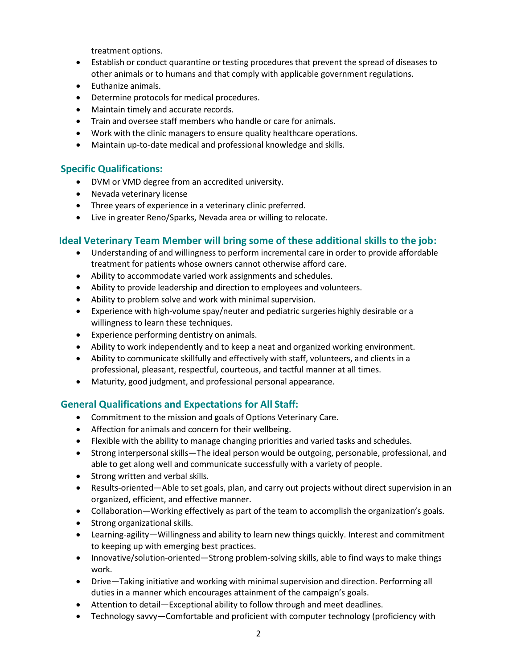treatment options.

- Establish or conduct quarantine or testing procedures that prevent the spread of diseases to other animals or to humans and that comply with applicable government regulations.
- Euthanize animals.
- Determine protocols for medical procedures.
- Maintain timely and accurate records.
- Train and oversee staff members who handle or care for animals.
- Work with the clinic managers to ensure quality healthcare operations.
- Maintain up-to-date medical and professional knowledge and skills.

#### **Specific Qualifications:**

- DVM or VMD degree from an accredited university.
- Nevada veterinary license
- Three years of experience in a veterinary clinic preferred.
- Live in greater Reno/Sparks, Nevada area or willing to relocate.

## **Ideal Veterinary Team Member will bring some of these additional skills to the job:**

- Understanding of and willingness to perform incremental care in order to provide affordable treatment for patients whose owners cannot otherwise afford care.
- Ability to accommodate varied work assignments and schedules.
- Ability to provide leadership and direction to employees and volunteers.
- Ability to problem solve and work with minimal supervision.
- Experience with high-volume spay/neuter and pediatric surgeries highly desirable or a willingness to learn these techniques.
- Experience performing dentistry on animals.
- Ability to work independently and to keep a neat and organized working environment.
- Ability to communicate skillfully and effectively with staff, volunteers, and clients in a professional, pleasant, respectful, courteous, and tactful manner at all times.
- Maturity, good judgment, and professional personal appearance.

## **General Qualifications and Expectations for All Staff:**

- Commitment to the mission and goals of Options Veterinary Care.
- Affection for animals and concern for their wellbeing.
- Flexible with the ability to manage changing priorities and varied tasks and schedules.
- Strong interpersonal skills—The ideal person would be outgoing, personable, professional, and able to get along well and communicate successfully with a variety of people.
- Strong written and verbal skills.
- Results-oriented—Able to set goals, plan, and carry out projects without direct supervision in an organized, efficient, and effective manner.
- Collaboration—Working effectively as part of the team to accomplish the organization's goals.
- Strong organizational skills.
- Learning-agility—Willingness and ability to learn new things quickly. Interest and commitment to keeping up with emerging best practices.
- Innovative/solution-oriented—Strong problem-solving skills, able to find ways to make things work.
- Drive―Taking initiative and working with minimal supervision and direction. Performing all duties in a manner which encourages attainment of the campaign's goals.
- Attention to detail—Exceptional ability to follow through and meet deadlines.
- Technology savvy—Comfortable and proficient with computer technology (proficiency with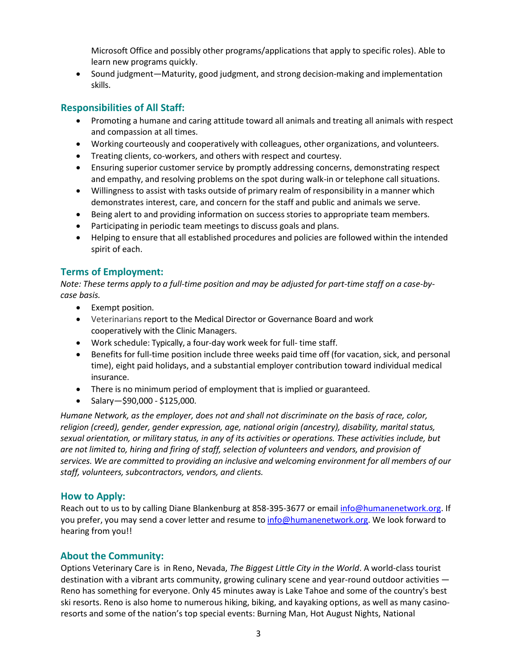Microsoft Office and possibly other programs/applications that apply to specific roles). Able to learn new programs quickly.

• Sound judgment—Maturity, good judgment, and strong decision-making and implementation skills.

## **Responsibilities of All Staff:**

- Promoting a humane and caring attitude toward all animals and treating all animals with respect and compassion at all times.
- Working courteously and cooperatively with colleagues, other organizations, and volunteers.
- Treating clients, co-workers, and others with respect and courtesy.
- Ensuring superior customer service by promptly addressing concerns, demonstrating respect and empathy, and resolving problems on the spot during walk-in or telephone call situations.
- Willingness to assist with tasks outside of primary realm of responsibility in a manner which demonstrates interest, care, and concern for the staff and public and animals we serve.
- Being alert to and providing information on success stories to appropriate team members.
- Participating in periodic team meetings to discuss goals and plans.
- Helping to ensure that all established procedures and policies are followed within the intended spirit of each.

## **Terms of Employment:**

Note: These terms apply to a full-time position and may be adjusted for part-time staff on a case-by*case basis.*

- Exempt position.
- Veterinarians report to the Medical Director or Governance Board and work cooperatively with the Clinic Managers.
- Work schedule: Typically, a four-day work week for full- time staff.
- Benefits for full-time position include three weeks paid time off (for vacation, sick, and personal time), eight paid holidays, and a substantial employer contribution toward individual medical insurance.
- There is no minimum period of employment that is implied or guaranteed.
- Salary-\$90,000 \$125,000.

*Humane Network, as the employer, does not and shall not discriminate on the basis of race, color, religion (creed), gender, gender expression, age, national origin (ancestry), disability, marital status, sexual orientation, or military status, in any of its activities or operations. These activities include, but are not limited to, hiring and firing of staff, selection of volunteers and vendors, and provision of services. We are committed to providing an inclusive and welcoming environment for all members of our staff, volunteers, subcontractors, vendors, and clients.*

#### **How to Apply:**

Reach out to us to by calling Diane Blankenburg at 858-395-3677 or email [info@humanenetwork.org.](mailto:info@humanenetwork.org) If you prefer, you may send a cover letter and resume to [info@humanenetwork.org. W](mailto:info@humanenetwork.org)e look forward to hearing from you!!

## **About the Community:**

Options Veterinary Care is in Reno, Nevada, *The Biggest Little City in the World*. A world-class tourist destination with a vibrant arts community, growing culinary scene and year-round outdoor activities ― Reno has something for everyone. Only 45 minutes away is Lake Tahoe and some of the country's best ski resorts. Reno is also home to numerous hiking, biking, and kayaking options, as well as many casinoresorts and some of the nation's top special events: Burning Man, Hot August Nights, National